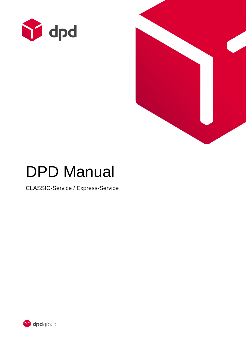



# DPD Manual

CLASSIC-Service / Express-Service

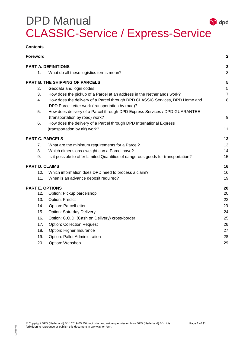| <b>Contents</b>            |                                                                                                                                       |                |
|----------------------------|---------------------------------------------------------------------------------------------------------------------------------------|----------------|
| <b>Foreword</b>            |                                                                                                                                       | $\mathbf{2}$   |
| <b>PART A. DEFINITIONS</b> |                                                                                                                                       |                |
|                            | 1.<br>What do all these logistics terms mean?                                                                                         | 3              |
|                            | <b>PART B. THE SHIPPING OF PARCELS</b>                                                                                                | 5              |
|                            | Geodata and login codes<br>2.                                                                                                         | $\sqrt{5}$     |
|                            | 3.<br>How does the pickup of a Parcel at an address in the Netherlands work?                                                          | $\overline{7}$ |
|                            | 4.<br>How does the delivery of a Parcel through DPD CLASSIC Services, DPD Home and<br>DPD ParcelLetter work (transportation by road)? | 8              |
|                            | 5.<br>How does delivery of a Parcel through DPD Express Services / DPD GUARANTEE                                                      |                |
|                            | (transportation by road) work?                                                                                                        | 9              |
|                            | How does the delivery of a Parcel through DPD International Express<br>6.                                                             |                |
|                            | (transportation by air) work?                                                                                                         | 11             |
| <b>PART C. PARCELS</b>     |                                                                                                                                       | 13             |
|                            | 7.<br>What are the minimum requirements for a Parcel?                                                                                 | 13             |
|                            | 8.<br>Which dimensions / weight can a Parcel have?                                                                                    | 14             |
|                            | Is it possible to offer Limited Quantities of dangerous goods for transportation?<br>9.                                               | 15             |
| <b>PART D. CLAIMS</b>      |                                                                                                                                       |                |
|                            | 10.<br>Which information does DPD need to process a claim?                                                                            | 16             |
|                            | 11.<br>When is an advance deposit required?                                                                                           | 19             |
|                            | <b>PART E. OPTIONS</b>                                                                                                                | 20             |
|                            | 12.<br>Option: Pickup parcelshop                                                                                                      | 20             |
|                            | 13.<br><b>Option: Predict</b>                                                                                                         | 22             |
|                            | 14.<br><b>Option: ParcelLetter</b>                                                                                                    | 23             |
|                            | 15.<br><b>Option: Saturday Delivery</b>                                                                                               | 24             |
|                            | 16.<br>Option: C.O.D. (Cash on Delivery) cross-border                                                                                 | 25             |
|                            | 17.<br><b>Option: Collection Request</b>                                                                                              | 26             |
|                            | 18.<br>Option: Higher Insurance                                                                                                       | 27             |
|                            | 19.<br>Option: Pallet Administration                                                                                                  | 28             |
|                            | 20.<br>Option: Webshop                                                                                                                | 29             |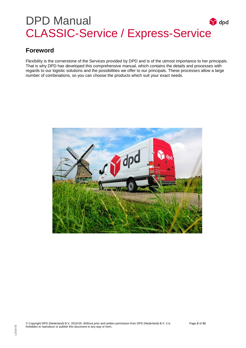### <span id="page-2-0"></span>**Foreword**

Flexibility is the cornerstone of the Services provided by DPD and is of the utmost importance to her principals. That is why DPD has developed this comprehensive manual, which contains the details and processes with regards to our logistic solutions and the possibilities we offer to our principals. These processes allow a large number of combinations, so you can choose the products which suit your exact needs.

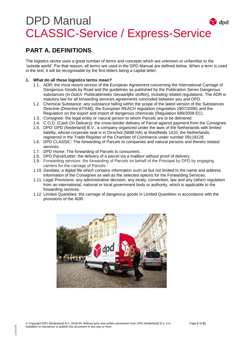### <span id="page-3-0"></span>**PART A. DEFINITIONS**

The logistics sector uses a great number of terms and concepts which are unknown or unfamiliar to the 'outside world'. For that reason, all terms are used in the DPD Manual are defined below. When a term is used in the text, it will be recognisable by the first letters being a capital letter.

### <span id="page-3-1"></span>**1. What do all these logistics terms mean?**

- 1.1. ADR: the most recent version of the European Agreement concerning the International Carriage of Dangerous Goods by Road and the guidelines as published by the Publication Series Dangerous substances (*in Dutch: Publicatiereeks Gevaarlijke stoffen)*, including related regulations. The ADR is statutory law for all forwarding services agreements concluded between you and DPD.
- 1.2. Chemical Substance: any substance falling within the scope of the latest version of the Substances Directive (Directive 67/548), the European REACH regulation (regulation 1907/2006) and the Regulation on the export and import of dangerous chemicals (Regulation 689/2008 EC).
- 1.3. Consignee: the legal entity or natural person to whom Parcels are to be delivered.
- 1.4. C.O.D. (Cash On Delivery): the cross-border delivery of Parcel against payment from the Consignee.
- 1.5. DPD: DPD (Nederland) B.V., a company organized under the laws of the Netherlands with limited liability, whose corporate seat is in Oirschot (5688 HA) at Westfields 1410, the Netherlands, registered in the Trade Register of the Chamber of Commerce under number 09118128.
- 1.6. DPD CLASSIC: The forwarding of Parcels to companies and natural persons and thereto related services.
- 1.7. DPD Home: The forwarding of Parcels to consumers.
- 1.8. DPD ParcelLetter: the delivery of a parcel via a mailbox without proof of delivery.
- 1.9. Forwarding services: the forwarding of Parcels on behalf of the Principal by DPD by engaging carriers for the carriage of Parcels.
- 1.10. Geodata: a digital file which contains information such as but not limited to the name and address information of the Consignee as well as the selected options for the Forwarding Services.
- 1.11. Legal Provisions: any administrative decision, any treaty, convention, law and any (other) regulation from an international, national or local government body or authority, which is applicable to the forwarding services.
- 1.12. Limited Quantities: the carriage of dangerous goods in Limited Quantities in accordance with the provisions of the ADR.

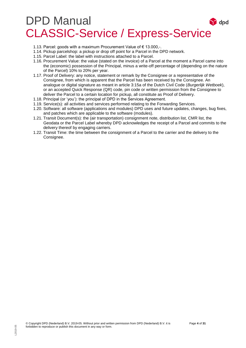- 1.13. Parcel: goods with a maximum Procurement Value of € 13.000,-.
- 1.14. Pickup parcelshop: a pickup or drop off point for a Parcel in the DPD network.
- 1.15. Parcel Label: the label with instructions attached to a Parcel.
- 1.16. Procurement Value: the value (stated on the invoice) of a Parcel at the moment a Parcel came into the (economic) possession of the Principal, minus a write-off percentage of (depending on the nature of the Parcel) 10% to 20% per year.
- 1.17. Proof of Delivery: any notice, statement or remark by the Consignee or a representative of the Consignee, from which is apparent that the Parcel has been received by the Consignee. An analogue or digital signature as meant in article 3:15a of the Dutch Civil Code (*Burgerlijk Wetboek*), or an accepted Quick Response (QR) code, pin code or written permission from the Consignee to deliver the Parcel to a certain location for pickup, all constitute as Proof of Delivery.
- 1.18. Principal (or 'you'): the principal of DPD in the Services Agreement.
- 1.19. Service(s): all activities and services performed relating to the Forwarding Services.
- 1.20. Software: all software (applications and modules) DPD uses and future updates, changes, bug fixes, and patches which are applicable to the software (modules).
- 1.21. Transit Document(s): the (air transportation) consignment note, distribution list, CMR list, the Geodata or the Parcel Label whereby DPD acknowledges the receipt of a Parcel and commits to the delivery thereof by engaging carriers.
- 1.22. Transit Time: the time between the consignment of a Parcel to the carrier and the delivery to the Consignee.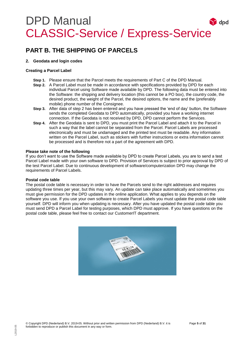### <span id="page-5-0"></span>**PART B. THE SHIPPING OF PARCELS**

#### <span id="page-5-1"></span>**2. Geodata and login codes**

#### **Creating a Parcel Label**

- **Step 1.** Please ensure that the Parcel meets the requirements of Part C of the DPD Manual.
- **Step 2.** A Parcel Label must be made in accordance with specifications provided by DPD for each individual Parcel using Software made available by DPD. The following data must be entered into the Software: the shipping and delivery location (this cannot be a PO box), the country code, the desired product, the weight of the Parcel, the desired options, the name and the (preferably mobile) phone number of the Consignee.
- **Step 3.** After data of step 2 has been entered and you have pressed the 'end of day' button, the Software sends the completed Geodata to DPD automatically, provided you have a working internet connection. If the Geodata is not received by DPD, DPD cannot perform the Services.
- **Step 4.** After the Geodata is sent to DPD, you must print the Parcel Label and attach it to the Parcel in such a way that the label cannot be separated from the Parcel. Parcel Labels are processed electronically and must be undamaged and the printed text must be readable. Any information written on the Parcel Label, such as stickers with further instructions or extra information cannot be processed and is therefore not a part of the agreement with DPD.

#### **Please take note of the following**

If you don't want to use the Software made available by DPD to create Parcel Labels, you are to send a test Parcel Label made with your own software to DPD. Provision of Services is subject to prior approval by DPD of the test Parcel Label. Due to continuous development of software/computerization DPD may change the requirements of Parcel Labels.

#### **Postal code table**

The postal code table is necessary in order to have the Parcels send to the right addresses and requires updating three times per year, but this may vary. An update can take place automatically and sometimes you must give permission for the DPD updates in the online application. What applies to you depends on the software you use. If you use your own software to create Parcel Labels you must update the postal code table yourself. DPD will inform you when updating is necessary. After you have updated the postal code table you must send DPD a Parcel Label for testing purposes, which DPD must approve. If you have questions on the postal code table, please feel free to contact our CustomerIT department.

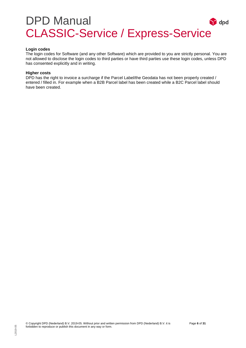#### **Login codes**

The login codes for Software (and any other Software) which are provided to you are strictly personal. You are not allowed to disclose the login codes to third parties or have third parties use these login codes, unless DPD has consented explicitly and in writing.

#### **Higher costs**

DPD has the right to invoice a surcharge if the Parcel Label/the Geodata has not been properly created / entered / filled in. For example when a B2B Parcel label has been created while a B2C Parcel label should have been created.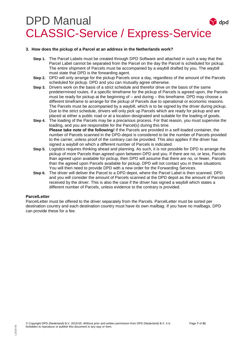#### <span id="page-7-0"></span>**3. How does the pickup of a Parcel at an address in the Netherlands work?**

- **Step 1.** The Parcel Labels must be created through DPD Software and attached in such a way that the Parcel Label cannot be separated from the Parcel on the day the Parcel is scheduled for pickup. The entire shipment of Parcels must be accompanied by a waybill drafted by you. The waybill must state that DPD is the forwarding agent.
- **Step 2.** DPD will only arrange for the pickup Parcels once a day, regardless of the amount of the Parcels scheduled for pickup. DPD and you can mutually agree otherwise.
- **Step 3.** Drivers work on the basis of a strict schedule and therefor drive on the basis of the same predetermined routes. If a specific timeframe for the pickup of Parcels is agreed upon, the Parcels must be ready for pickup at the beginning of – and during – this timeframe. DPD may choose a different timeframe to arrange for the pickup of Parcels due to operational or economic reasons. The Parcels must be accompanied by a waybill, which is to be signed by the driver during pickup. Due to the strict schedule, drivers will only pick up Parcels which are ready for pickup and are placed at either a public road or at a location designated and suitable for the loading of goods.
- **Step 4.** The loading of the Parcels may be a precarious process. For that reason, you must supervise the loading, and you are responsible for the Parcel(s) during this time. **Please take note of the following!** If the Parcels are provided in a self-loaded container, the number of Parcels scanned in the DPD-depot is considered to be the number of Parcels provided to the carrier, unless proof of the contrary can be provided. This also applies if the driver has signed a waybill on which a different number of Parcels is indicated.
- **Step 5.** Logistics requires thinking ahead and planning. As such, it is not possible for DPD to arrange the pickup of more Parcels than agreed upon between DPD and you. If there are no, or less, Parcels than agreed upon available for pickup, then DPD will assume that there are no, or fewer, Parcels than the agreed upon Parcels available for pickup. DPD will not contact you in these situations. You will then need to provide DPD with a new order for the Forwarding Services.
- **Step 6.** The driver will deliver the Parcel to a DPD depot, where the Parcel Label is then scanned. DPD and you will consider the amount of Parcels scanned at the DPD depot as the amount of Parcels received by the driver. This is also the case if the driver has signed a waybill which states a different number of Parcels, unless evidence to the contrary is provided.

#### **ParcelLetter**

ParcelLetter must be offered to the driver separately from the Parcels. ParcelLetter must be sorted per destination country and each destination country must have its own mailbag. If you have no mailbags, DPD can provide these for a fee.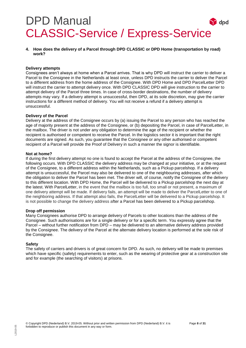<span id="page-8-0"></span>**4. How does the delivery of a Parcel through DPD CLASSIC or DPD Home (transportation by road) work?**

#### **Delivery attempts**

Consignees aren't always at home when a Parcel arrives. That is why DPD will instruct the carrier to deliver a Parcel to the Consignee in the Netherlands at least once, unless DPD instructs the carrier to deliver the Parcel to a different address from the home address of the Consignee. With DPD Home and DPD ParcelLetter DPD will instruct the carrier to attempt delivery once. With DPD CLASSIC DPD will give instruction to the carrier to attempt delivery of the Parcel three times. In case of cross-border destinations, the number of delivery attempts may vary. If a delivery attempt is unsuccessful, then DPD, at its sole discretion, may give the carrier instructions for a different method of delivery. You will not receive a refund if a delivery attempt is unsuccessful.

#### **Delivery of the Parcel**

Delivery at the address of the Consignee occurs by (a) issuing the Parcel to any person who has reached the age of majority present at the address of the Consignee, or (b) depositing the Parcel, in case of ParcelLetter, in the mailbox. The driver is not under any obligation to determine the age of the recipient or whether the recipient is authorised or competent to receive the Parcel. In the logistics sector it is important that the right documents are signed. As such, you guarantee that the Consignee or any other authorised or competent recipient of a Parcel will provide the Proof of Delivery in such a manner the signor is identifiable.

#### **Not at home?**

If during the first delivery attempt no one is found to accept the Parcel at the address of the Consignee, the following occurs. With DPD CLASSIC the delivery address may be changed at your initiative, or at the request of the Consignee, to a different address within the Netherlands, such as a Pickup parcelshop. If a delivery attempt is unsuccessful, the Parcel may also be delivered to one of the neighbouring addresses, after which the obligation to deliver the Parcel has been met. The driver will, of course, notify the Consignee of the delivery to this different location. With DPD Home, the Parcel will be delivered to a Pickup parcelshop the next day at the latest. With ParcelLetter, in the event that the mailbox is too full, too small or not present, a maximum of one delivery attempt will be made. If delivery fails, an attempt will be made to deliver the ParcelLetter to one of the neighboring address. If that attempt also fails, the ParcelLetter will be delivered to a Pickup parcelshop. It is not possible to change the delivery address after a Parcel has been delivered to a Pickup parcelshop.

#### **Drop off permission**

Many Consignees authorise DPD to arrange delivery of Parcels to other locations than the address of the Consignee. Such authorisations are for a single delivery or for a specific term. You expressly agree that the Parcel – without further notification from DPD – may be delivered to an alternative delivery address provided by the Consignee. The delivery of the Parcel at the alternate delivery location is performed at the sole risk of the Consignee.

#### **Safety**

The safety of carriers and drivers is of great concern for DPD. As such, no delivery will be made to premises which have specific (safety) requirements to enter, such as the wearing of protective gear at a construction site and for example (the searching of visitors) at prisons.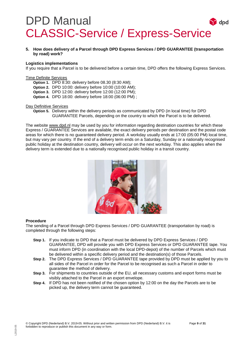<span id="page-9-0"></span>**5. How does delivery of a Parcel through DPD Express Services / DPD GUARANTEE (transportation by road) work?**

#### **Logistics implementations**

If you require that a Parcel is to be delivered before a certain time, DPD offers the following Express Services.

#### Time Definite Services

- **Option 1.** DPD 8:30: delivery before 08.30 (8:30 AM);
- **Option 2.** DPD 10:00: delivery before 10:00 (10:00 AM);
- **Option 3.** DPD 12:00: delivery before 12:00 (12:00 PM);
- **Option 4.** DPD 18:00: delivery before 18:00 (06:00 PM) ;

#### Day Definitive Services

**Option 5.** Delivery within the delivery periods as communicated by DPD (in local time) for DPD GUARANTEE Parcels, depending on the country to which the Parcel is to be delivered.

The website [www.dpd.nl](http://www.dpd.nl/) may be used by you for information regarding destination countries for which these Express / GUARANTEE Services are available, the exact delivery periods per destination and the postal code areas for which there is no guaranteed delivery period. A workday usually ends at 17:00 (05:00 PM) local time, but may vary per country. If the end of a delivery term ends on a Saturday, Sunday or a nationally recognised public holiday at the destination country, delivery will occur on the next workday. This also applies when the delivery term is extended due to a nationally recognised public holiday in a transit country.



#### **Procedure**

The sending of a Parcel through DPD Express Services / DPD GUARANTEE (transportation by road) is completed through the following steps:

- **Step 1.** If you indicate to DPD that a Parcel must be delivered by DPD Express Services / DPD GUARANTEE, DPD will provide you with DPD Express Services or DPD GUARANTEE tape. You must inform DPD (in coordination with the local DPD-depot) of the number of Parcels which must be delivered within a specific delivery period and the destination(s) of those Parcels.
- **Step 2.** The DPD Express Services / DPD GUARANTEE tape provided by DPD must be applied by you to all sides of the Parcel in order for the Parcel to be recognised as such a Parcel in order to guarantee the method of delivery.
- **Step 3.** For shipments to countries outside of the EU, all necessary customs and export forms must be visibly attached to the Parcel in an export envelope.
- **Step 4.** If DPD has not been notified of the chosen option by 12:00 on the day the Parcels are to be picked up, the delivery term cannot be guaranteed.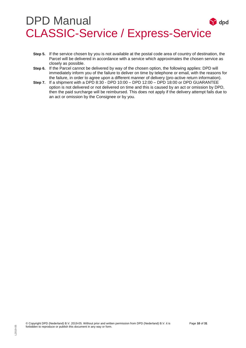- **Step 5.** If the service chosen by you is not available at the postal code area of country of destination, the Parcel will be delivered in accordance with a service which approximates the chosen service as closely as possible.
- **Step 6.** If the Parcel cannot be delivered by way of the chosen option, the following applies: DPD will immediately inform you of the failure to deliver on time by telephone or email, with the reasons for the failure, in order to agree upon a different manner of delivery (pro-active return information).
- **Step 7.** If a shipment with a DPD 8:30 DPD 10:00 DPD 12:00 DPD 18:00 or DPD GUARANTEE option is not delivered or not delivered on time and this is caused by an act or omission by DPD, then the paid surcharge will be reimbursed. This does not apply if the delivery attempt fails due to an act or omission by the Consignee or by you.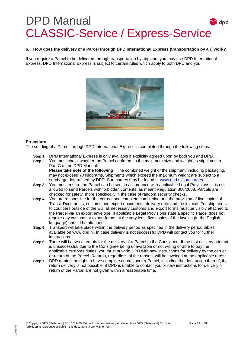#### <span id="page-11-0"></span>**6. How does the delivery of a Parcel through DPD International Express (transportation by air) work?**

If you require a Parcel to be delivered through transportation by airplane, you may use DPD International Express. DPD International Express is subject to certain rules which apply to both DPD and you.



#### **Procedure**

The sending of a Parcel through DPD International Express is completed through the following steps:

- **Step 1.** DPD International Express is only available if explicitly agreed upon by both you and DPD.
- **Step 2.** You must check whether the Parcel conforms to the maximum size and weight as stipulated in Part C of the DPD Manual.

**Please take note of the following!** The combined weight of the shipment, including packaging, may not exceed 70 kilograms. Shipments which exceed the maximum weight are subject to a surcharge determined by DPD. Surcharges may be found at [www.dpd.nl/surcharges.](http://www.dpd.nl/surcharges)

- **Step 3.** You must ensure the Parcel can be sent in accordance with applicable Legal Provisions. It is not allowed to send Parcels with forbidden contents, as meant Regulation 300/2008. Parcels are checked for safety, more specifically in the case of random security checks.
- **Step 4.** You are responsible for the correct and complete completion and the provision of five copies of Transit Documents, customs and export documents, delivery note and the invoice. For shipments to countries outside of the EU, all necessary customs and export forms must be visibly attached to the Parcel via an export envelope. If applicable Legal Provisions state a specific Parcel does not require any customs or export forms, at the very least five copies of the invoice (in the English language) should be attached.
- **Step 5.** Transport will take place within the delivery period as specified in the delivery period tables available on [www.dpd.nl.](http://www.dpd.nl/) In case delivery is not successful DPD will contact you for further instructions.
- **Step 6.** There will be two attempts for the delivery of a Parcel to the Consignee. If the first delivery attempt is unsuccessful, due to the Consignee being unavailable or not willing or able to pay the applicable customs duties, you must provide DPD with new instructions for delivery by the carrier or return of the Parcel. Returns, regardless of the reason, will be invoiced at the applicable rates.
- **Step 7.** DPD retains the right to have complete control over a Parcel, including the destruction thereof, if a return delivery is not possible, if DPD is unable to contact you or new instructions for delivery or return of the Parcel are not given within a reasonable time.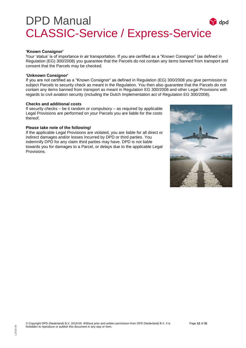#### **'Known Consignor'**

Your 'status' is of importance in air transportation. If you are certified as a "Known Consignor" (as defined in Regulation (EG) 300/2008) you guarantee that the Parcels do not contain any items banned from transport and consent that the Parcels may be checked.

#### **'Unknown Consignor'**

If you are not certified as a "Known Consignor" as defined in Regulation (EG) 300/2008 you give permission to subject Parcels to security check as meant in the Regulation. You then also guarantee that the Parcels do not contain any items banned from transport as meant in Regulation EG 300/2008 and other Legal Provisions with regards to civil aviation security (including the Dutch Implementation act of Regulation EG 300/2008).

#### **Checks and additional costs**

If security checks – be it random or compulsory – as required by applicable Legal Provisions are performed on your Parcels you are liable for the costs thereof.

#### **Please take note of the following!**

If the applicable Legal Provisions are violated, you are liable for all direct or indirect damages and/or losses Incurred by DPD or third parties. You indemnify DPD for any claim third parties may have. DPD is not liable towards you for damages to a Parcel, or delays due to the applicable Legal Provisions.

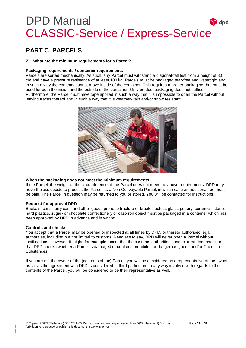### <span id="page-13-0"></span>**PART C. PARCELS**

#### <span id="page-13-1"></span>**7. What are the minimum requirements for a Parcel?**

#### **Packaging requirements / container requirements**

Parcels are sorted mechanically. As such, any Parcel must withstand a diagonal-fall test from a height of 80 cm and have a pressure resistance of at least 100 kg. Parcels must be packaged tear-free and watertight and in such a way the contents cannot move inside of the container. This requires a proper packaging that must be used for both the inside and the outside of the container. Only product packaging does not suffice. Furthermore, the Parcel must have tape applied in such a way that it is impossible to open the Parcel without leaving traces thereof and in such a way that it is weather- rain and/or snow resistant.



#### **When the packaging does not meet the minimum requirements**

If the Parcel, the weight or the circumference of the Parcel does not meet the above requirements, DPD may nevertheless decide to process the Parcel as a Non Conveyable Parcel, in which case an additional fee must be paid. The Parcel in question may be returned to you or stored. You will be contacted for instructions.

#### **Request for approval DPD**

Buckets, cans, jerry cans and other goods prone to fracture or break, such as glass, pottery, ceramics, stone, hard plastics, sugar- or chocolate confectionery or cast-iron object must be packaged in a container which has been approved by DPD in advance and in writing.

#### **Controls and checks**

You accept that a Parcel may be opened or inspected at all times by DPD, or thereto authorised legal authorities, including but not limited to customs. Needless to say, DPD will never open a Parcel without justifications. However, it might, for example, occur that the customs authorities conduct a random check or that DPD checks whether a Parcel is damaged or contains prohibited or dangerous goods and/or Chemical Substances.

If you are not the owner of the (contents of the) Parcel, you will be considered as a representative of the owner as far as the agreement with DPD is considered. If third parties are in any way involved with regards to the contents of the Parcel, you will be considered to be their representative as well.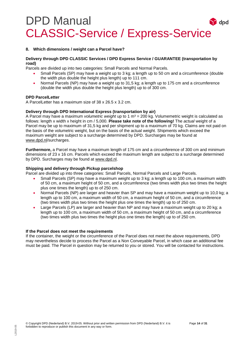#### <span id="page-14-0"></span>**8. Which dimensions / weight can a Parcel have?**

#### **Delivery through DPD CLASSIC Services / DPD Express Service / GUARANTEE (transportation by road)**

Parcels are divided up into two categories: Small Parcels and Normal Parcels.

- Small Parcels (SP) may have a weight up to 3 kg; a length up to 50 cm and a circumference (double the width plus double the height plus length) up to 111 cm.
- Normal Parcels (NP) may have a weight up to 31,5 kg; a length up to 175 cm and a circumference (double the width plus double the height plus length) up to of 300 cm.

#### **DPD ParcelLetter**

A ParcelLetter has a maximum size of 38 x 26.5 x 3.2 cm.

#### **Delivery through DPD International Express (transportation by air)**

A Parcel may have a maximum *volumetric weight* up to 1 m<sup>3</sup> = 200 kg. Volumemetric weight is calculated as follows: length x width x height in cm / 5,000. **Please take note of the following!** The *actual* weight of a Parcel may be up to maximum of 31,5 kg and per shipment up to a maximum of 70 kg. Claims are not paid on the basis of the volumetric weight, but on the basis of the actual weight. Shipments which exceed the maximum weight are subject to a surcharge determined by DPD. Surcharges may be found at [www.dpd.nl/](http://www.dpd.nl/)surcharges.

**Furthermore,** a Parcel may have a maximum length of 175 cm and a circumference of 300 cm and minimum dimensions of 23 x 16 cm. Parcels which exceed the maximum length are subject to a surcharge determined by DPD. Surcharges may be found at [www.dpd.nl.](http://www.dpd.nl/)

#### **Shipping and delivery through Pickup parcelshop**

Parcel are divided up into three categories: Small Parcels, Normal Parcels and Large Parcels.

- Small Parcels (SP) may have a maximum weight up to 3 kg; a length up to 100 cm, a maximum width of 50 cm, a maximum height of 50 cm, and a circumference (two times width plus two times the height plus one times the length) up to of 250 cm.
- Normal Parcels (NP) are larger and heavier than SP and may have a maximum weight up to 10,0 kg; a length up to 100 cm, a maximum width of 50 cm, a maximum height of 50 cm, and a circumference (two times width plus two times the height plus one times the length) up to of 250 cm.
- Large Parcels (LP) are larger and heavier than NP and may have a maximum weight up to 20 kg; a length up to 100 cm, a maximum width of 50 cm, a maximum height of 50 cm, and a circumference (two times width plus two times the height plus one times the length) up to of 250 cm.

#### **If the Parcel does not meet the requirements**

If the container, the weight or the circumference of the Parcel does not meet the above requirements, DPD may nevertheless decide to process the Parcel as a Non Conveyable Parcel, in which case an additional fee must be paid. The Parcel in question may be returned to you or stored. You will be contacted for instructions.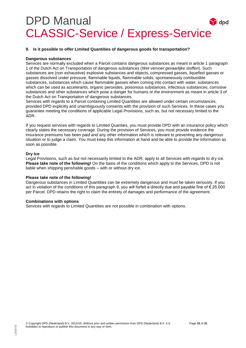#### <span id="page-15-0"></span>**9. Is it possible to offer Limited Quantities of dangerous goods for transportation?**

#### **Dangerous substances**

Services are normally excluded when a Parcel contains dangerous substances as meant in article 1 paragraph 1 of the Dutch Act on Transportation of dangerous substances (*Wet vervoer gevaarlijke stoffen*). Such substances are (non exhaustive) explosive substances and objects, compressed gasses, liquefied gasses or gasses dissolved under pressure, flammable liquids, flammable solids, spontaneously combustible substances, substances which cause flammable gasses when coming into contact with water, substances which can be used as accelerants, organic peroxides, poisonous substances, infectious substances, corrosive substances and other substances which pose a danger for humans or the environment as meant in article 3 of the Dutch Act on Transportation of dangerous substances.

Services with regards to a Parcel containing Limited Quantities are allowed under certain circumstances, provided DPD explicitly and unambiguously consents with the provision of such Services. In these cases you guarantee meeting the conditions of applicable Legal Provisions, such as, but not necessary limited to the ADR.

If you request services with regards to Limited Quanties, you must provide DPD with an insurance policy which clearly states the necessary coverage. During the provision of Services, you must provide evidence the insurance premiums has been paid and any other information which is relevant to preventing any dangerous situation or to judge a claim. You must keep this information at hand and be able to provide the information as soon as possible.

#### **Dry Ice**

Legal Provisions, such as but not necessarily limited to the ADR, apply to all Services with regards to dry ice. **Please take note of the following!** On the basis of the conditions which apply to the Services, DPD is not liable when shipping perishable goods – with or without dry ice.

#### **Please take note of the following!**

Dangerous substances in Limited Quantities can be extremely dangerous and must be taken seriously. If you act in violation of the conditions of this paragraph 9, you will forfeit a directly due and payable fine of € 25.000 per Parcel. DPD retains the right to claim the entirety of damages and performance of the agreement.

#### **Combinations with options**

Services with regards to Limited Quantities are not possible in combination with options.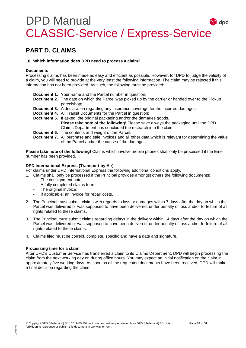### <span id="page-16-0"></span>**PART D. CLAIMS**

#### <span id="page-16-1"></span>**10. Which information does DPD need to process a claim?**

#### **Documents**

Processing claims has been made as easy and efficient as possible. However, for DPD to judge the validity of a claim, you will need to provide at the very least the following information. The claim may be rejected if this information has not been provided. As such, the following must be provided:

- **Document 1.** Your name and the Parcel number in question; **Document 2.** The date on which the Parcel was picked up by the carrier or handed over to the Pickup parcelshop; **Document 3.** A declaration regarding any insurance coverage for the incurred damages; **Document 4.** All Transit Documents for the Parcel in question; **Document 5.** If asked: the original packaging and/or the damages goods.
	- **Please take note of the following!** Please save always the packaging until the DPD Claims Department has concluded the research into the claim.
- **Document 6.** The contents and weight of the Parcel.
- **Document 7.** All purchase and sale invoices and all other data which is relevant for determining the value of the Parcel and/or the cause of the damages.

**Please take note of the following!** Claims which involve mobile phones shall only be processed if the Emei number has been provided.

#### **DPD International Express (Transport by Air)**

For claims under DPD International Express the following additional conditions apply**:**

- 1. Claims shall only be processed if the Principal provides amongst others the following documents:
	- The consignment note:
	- A fully completed claims form;
	- The original invoice;
	- If applicable: an invoice for repair costs.
- 2. The Principal must submit claims with regards to loss or damages within 7 days after the day on which the Parcel was delivered or was supposed to have been delivered, under penalty of loss and/or forfeiture of all rights related to these claims.
- 3. The Principal must submit claims regarding delays in the delivery within 14 days after the day on which the Parcel was delivered or was supposed to have been delivered, under penalty of loss and/or forfeiture of all rights related to these claims.
- 4. Claims filed must be correct, complete, specific and have a date and signature.

#### **Processing time for a claim**

After DPD's Customer Service has transferred a claim to its Claims Department, DPD will begin processing the claim from the next working day on during office hours. You may expect an initial notification on the claim in approximately five working days. As soon as all the requested documents have been received, DPD will make a final decision regarding the claim.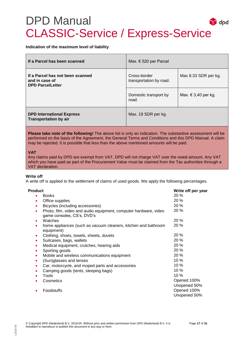#### **Indication of the maximum level of liability**

| If a Parcel has been scanned                                                  | Max. $\in$ 520 per Parcel               |                      |
|-------------------------------------------------------------------------------|-----------------------------------------|----------------------|
| If a Parcel has not been scanned<br>and in case of<br><b>DPD ParcelLetter</b> | Cross-border<br>transportation by road. | Max 8.33 SDR per kg. |
|                                                                               | Domestic transport by<br>road.          | Max. € 3,40 per kg.  |
| <b>DPD International Express</b><br><b>Transportation by air</b>              | Max. 19 SDR per kg.                     |                      |

**Please take note of the following!** The above list is only an indication. The substantive assessment will be performed on the basis of the Agreement, the General Terms and Conditions and this DPD Manual. A claim may be rejected. It is possible that less than the above mentioned amounts will be paid.

#### **VAT**

Any claims paid by DPD are exempt from VAT. DPD will not charge VAT over the owed amount. Any VAT which you have paid as part of the Procurement Value must be claimed from the Tax authorities through a VAT declaration.

#### **Write off**

A write off is applied to the settlement of claims of used goods. We apply the following percentages.

| <b>Product</b>                                                                                      | Write off per year          |
|-----------------------------------------------------------------------------------------------------|-----------------------------|
| <b>Books</b><br>٠                                                                                   | 20%                         |
| Office supplies<br>٠                                                                                | 20 %                        |
| Bicycles (including accessories)<br>٠                                                               | 20 %                        |
| Photo, film, video and audio equipment, computer hardware, video<br>٠<br>game consoles, CS's, DVD's | 20%                         |
| Watches<br>٠                                                                                        | 20%                         |
| home appliances (such as vacuum cleaners, kitchen and bathroom<br>٠<br>equipment)                   | 20%                         |
| Clothing, shoes, towels, sheets, duvets<br>٠                                                        | 20%                         |
| Suitcases, bags, wallets<br>۰                                                                       | 20%                         |
| Medical equipment, crutches, hearing aids<br>$\bullet$                                              | 20%                         |
| Sporting goods<br>٠                                                                                 | 20%                         |
| Mobile and wireless communications equipment<br>٠                                                   | 20%                         |
| (Sun)glasses and lenses<br>$\bullet$                                                                | $10\%$                      |
| Car, motorcycle, and moped parts and accessories<br>$\bullet$                                       | 10%                         |
| Camping goods (tents, sleeping bags)                                                                | 10 %                        |
| Tools                                                                                               | 10%                         |
| Cosmetics                                                                                           | Opened 100%<br>Unopened 50% |
| Foodstuffs                                                                                          | Opened 100%<br>Unopened 50% |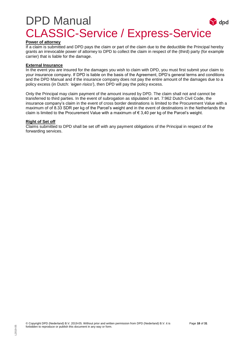#### **Power of attorney**

If a claim is submitted and DPD pays the claim or part of the claim due to the deductible the Principal hereby grants an irrevocable power of attorney to DPD to collect the claim in respect of the (third) party (for example carrier) that is liable for the damage.

#### **External Insurance**

In the event you are insured for the damages you wish to claim with DPD, you must first submit your claim to your insurance company. If DPD is liable on the basis of the Agreement, DPD's general terms and conditions and the DPD Manual and if the insurance company does not pay the entire amount of the damages due to a policy excess (in Dutch: *'eigen risico'*), then DPD will pay the policy excess.

Only the Principal may claim payment of the amount insured by DPD. The claim shall not and cannot be transferred to third parties. In the event of subrogation as stipulated in art. 7:962 Dutch Civil Code, the insurance company's claim in the event of cross border destinations is limited to the Procurement Value with a maximum of of 8.33 SDR per kg of the Parcel's weight and in the event of destinations in the Netherlands the claim is limited to the Procurement Value with a maximum of  $\epsilon$  3,40 per kg of the Parcel's weight.

#### **Right of Set off**

Claims submitted to DPD shall be set off with any payment obligations of the Principal in respect of the forwarding services.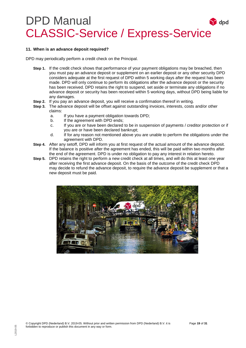#### <span id="page-19-0"></span>**11. When is an advance deposit required?**

DPD may periodically perform a credit check on the Principal.

- **Step 1.** If the credit check shows that performance of your payment obligations may be breached, then you must pay an advance deposit or supplement on an earlier deposit or any other security DPD considers adequate at the first request of DPD within 5 working days after the request has been made. DPD will only continue to perform its obligations after the advance deposit or the security has been received. DPD retains the right to suspend, set aside or terminate any obligations if no advance deposit or security has been received within 5 working days, without DPD being liable for any damages.
- **Step 2.** If you pay an advance deposit, you will receive a confirmation thereof in writing.
- **Step 3.** The advance deposit will be offset against outstanding invoices, interests, costs and/or other claims:
	- a. If you have a payment obligation towards DPD;
	- b. If the agreement with DPD ends;
	- c. If you are or have been declared to be in suspension of payments / creditor protection or if you are or have been declared bankrupt;
	- d. If for any reason not mentioned above you are unable to perform the obligations under the agreement with DPD.
- **Step 4.** After any setoff, DPD will inform you at first request of the actual amount of the advance deposit. If the balance is positive after the agreement has ended, this will be paid within two months after the end of the agreement. DPD is under no obligation to pay any interest in relation hereto.
- **Step 5.** DPD retains the right to perform a new credit check at all times, and will do this at least one year after receiving the first advance deposit. On the basis of the outcome of the credit check DPD may decide to refund the advance deposit, to require the advance deposit be supplement or that a new deposit must be paid.

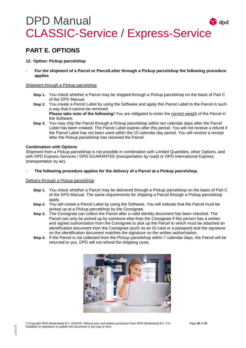### <span id="page-20-0"></span>**PART E. OPTIONS**

#### <span id="page-20-1"></span>**12. Option: Pickup parcelshop**

- **For the shipment of a Parcel or ParcelLetter through a Pickup parcelshop the following procedure applies**

#### Shipment through a Pickup parcelshop

- **Step 1.** You check whether a Parcel may be shipped through a Pickup parcelshop on the basis of Part C of the DPD Manual.
- **Step 2.** You create a Parcel Label by using the Software and apply this Parcel Label to the Parcel in such a way that it cannot be removed.

**Please take note of the following!** You are obligated to enter the correct weight of the Parcel in the Software.

**Step 3.** You may ship the Parcel through a Pickup parcelshop within ten calendar days after the Parcel Label has been created. The Parcel Label expires after this period. You will not receive a refund if the Parcel Label has not been used within the 10 calendar day period. You will receive a receipt after the Pickup parcelshop has received the Parcel.

#### **Combination with Options**

Shipment from a Pickup parcelshop is not possible in combination with Limited Quantities, other Options, and with DPD Express Services / DPD GUARANTEE (transportation by road) or DPD International Express (transportation by air).

- **The following procedure applies for the delivery of a Parcel at a Pickup parcelshop.** 

#### Delivery through a Pickup parcelshop

- **Step 1.** You check whether a Parcel may be delivered through a Pickup parcelshop on the basis of Part C of the DPD Manual. The same requirements for shipping a Parcel through a Pickup parcelshop apply.
- **Step 2.** You will create a Parcel Label by using the Software. You will indicate that the Parcel must be picked up at a Pickup parcelshop by the Consignee.
- **Step 3.** The Consignee can collect the Parcel after a valid identity document has been checked. The Parcel can only be picked up by someone else than the Consignee if this person has a written and signed authorisation from the Consignee to pick up the Parcel to which must be attached an identification document from the Consignee (such as an ID-card or a passport) and the signature on the identification document matches the signature on the written authorisation.
- **Step 4.** If the Parcel is not collected from the Pickup parcelshop within 7 calendar days, the Parcel will be returned to you. DPD will not refund the shipping costs.

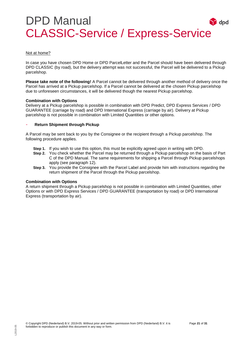#### Not at home?

In case you have chosen DPD Home or DPD ParcelLetter and the Parcel should have been delivered through DPD CLASSIC (by road), but the delivery attempt was not successful, the Parcel will be delivered to a Pickup parcelshop.

**Please take note of the following!** A Parcel cannot be delivered through another method of delivery once the Parcel has arrived at a Pickup parcelshop. If a Parcel cannot be delivered at the chosen Pickup parcelshop due to unforeseen circumstances, it will be delivered though the nearest Pickup parcelshop.

#### **Combination with Options**

Delivery at a Pickup parcelshop is possible in combination with DPD Predict, DPD Express Services / DPD GUARANTEE (carriage by road) and DPD International Express (carriage by air). Delivery at Pickup parcelshop is not possible in combination with Limited Quantities or other options.

#### - **Return Shipment through Pickup**

A Parcel may be sent back to you by the Consignee or the recipient through a Pickup parcelshop. The following procedure applies.

- **Step 1.** If you wish to use this option, this must be explicitly agreed upon in writing with DPD.
- **Step 2.** You check whether the Parcel may be returned through a Pickup parcelshop on the basis of Part C of the DPD Manual. The same requirements for shipping a Parcel through Pickup parcelshops apply (see paragraph 12).
- **Step 3.** You provide the Consignee with the Parcel Label and provide him with instructions regarding the return shipment of the Parcel through the Pickup parcelshop.

#### **Combination with Options**

A return shipment through a Pickup parcelshop is not possible in combination with Limited Quantities, other Options or with DPD Express Services / DPD GUARANTEE (transportation by road) or DPD International Express (transportation by air).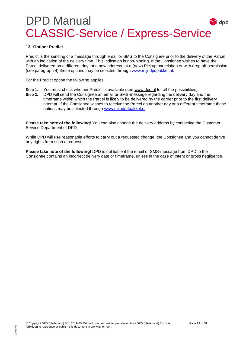#### <span id="page-22-0"></span>**13. Option: Predict**

Predict is the sending of a message through email or SMS to the Consignee prior to the delivery of the Parcel with an indication of the delivery time. This indication is non-binding. If the Consignee wishes to have the Parcel delivered on a different day, at a new address, at a (new) Pickup parcelshop or with drop off permission (see paragraph 4) these options may be selected through [www.mijndpdpakket.nl.](http://www.mijndpdpakket.nl/)

For the Predict option the following applies:

- **Step 1.** You must check whether Predict is available (see [www.dpd.nl](http://www.dpd.nl/) for all the possibilities).
- **Step 2.** DPD will send the Consignee an email or SMS-message regarding the delivery day and the timeframe within which the Parcel is likely to be delivered by the carrier prior to the first delivery attempt. If the Consignee wishes to receive the Parcel on another day or a different timeframe these options may be selected through [www.mijndpdpakket.nl.](http://www.mijndpdpakket.nl/)

**Please take note of the following!** You can also change the delivery address by contacting the Customer Service Department of DPD.

While DPD will use reasonable efforts to carry out a requested change, the Consignee and you cannot derive any rights from such a request.

**Please take note of the following!** DPD is not liable if the email or SMS-message from DPD to the Consignee contains an incorrect delivery date or timeframe, unless in the case of intent or gross negligence.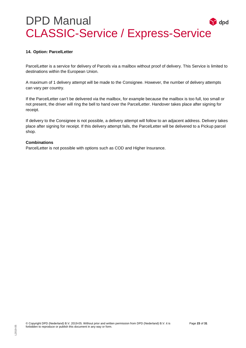#### **14. Option: ParcelLetter**

ParcelLetter is a service for delivery of Parcels via a mailbox without proof of delivery. This Service is limited to destinations within the European Union.

A maximum of 1 delivery attempt will be made to the Consignee. However, the number of delivery attempts can vary per country.

If the ParcelLetter can't be delivered via the mailbox, for example because the mailbox is too full, too small or not present, the driver will ring the bell to hand over the ParcelLetter. Handover takes place after signing for receipt.

If delivery to the Consignee is not possible, a delivery attempt will follow to an adjacent address. Delivery takes place after signing for receipt. If this delivery attempt fails, the ParcelLetter will be delivered to a Pickup parcel shop.

#### **Combinations**

ParcelLetter is not possible with options such as COD and Higher Insurance.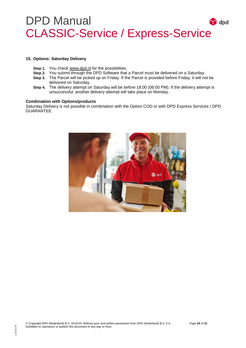#### <span id="page-24-0"></span>**15. Options: Saturday Delivery**

- **Step 1.** You check [www.dpd.nl](http://www.dpd.nl/) for the possibilities.
- **Step 2.** You submit through the DPD Software that a Parcel must be delivered on a Saturday.
- **Step 3.** The Parcel will be picked up on Friday. If the Parcel is provided before Friday, it will not be delivered on Saturday.
- **Step 4.** The delivery attempt on Saturday will be before 18:00 (06:00 PM). If the delivery attempt is unsuccessful, another delivery attempt will take place on Monday.

#### **Combination with Options/products**

Saturday Delivery is not possible in combination with the Option COD or with DPD Express Services / DPD GUARANTEE.

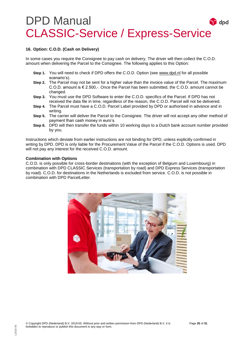#### <span id="page-25-0"></span>**16. Option: C.O.D. (Cash on Delivery)**

In some cases you require the Consignee to pay cash on delivery. The driver will then collect the C.O.D. amount when delivering the Parcel to the Consignee. The following applies to this Option:

- **Step 1.** You will need to check if DPD offers the C.O.D. Option (see [www.dpd.nl](http://www.dpd.nl/) for all possible scenario's).
- **Step 2.** The Parcel may not be sent for a higher value than the invoice value of the Parcel. The maximum C.O.D. amount is € 2.500,-. Once the Parcel has been submitted, the C.O.D. amount cannot be changed.
- **Step 3.** You must use the DPD Software to enter the C.O.D. specifics of the Parcel. If DPD has not received the data file in time, regardless of the reason, the C.O.D. Parcel will not be delivered.
- **Step 4.** The Parcel must have a C.O.D. Parcel Label provided by DPD or authorised in advance and in writing.
- **Step 5.** The carrier will deliver the Parcel to the Consignee. The driver will not accept any other method of payment than cash money in euro's.
- **Step 6.** DPD will then transfer the funds within 10 working days to a Dutch bank account number provided by you.

Instructions which deviate from earlier instructions are not binding for DPD, unless explicitly confirmed in writing by DPD. DPD is only liable for the Procurement Value of the Parcel if the C.O.D. Options is used. DPD will not pay any interest for the received C.O.D. amount.

#### **Combination with Options**

C.O.D. is only possible for cross-border destinations (with the exception of Belgium and Luxembourg) in combination with DPD CLASSIC Services (transportation by road) and DPD Express Services (transportation by road). C.O.D. for destinations in the Netherlands is excluded from service. C.O.D. is not possible in combination with DPD ParcelLetter.

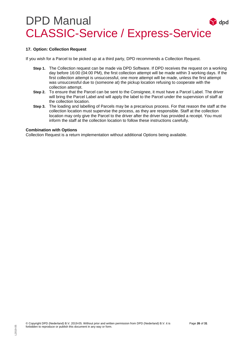#### <span id="page-26-0"></span>**17. Option: Collection Request**

If you wish for a Parcel to be picked up at a third party, DPD recommends a Collection Request.

- **Step 1.** The Collection request can be made via DPD Software. If DPD receives the request on a working day before 16:00 (04:00 PM), the first collection attempt will be made within 3 working days. If the first collection attempt is unsuccessful, one more attempt will be made, unless the first attempt was unsuccessful due to (someone at) the pickup location refusing to cooperate with the collection attempt.
- **Step 2.** To ensure that the Parcel can be sent to the Consignee, it must have a Parcel Label. The driver will bring the Parcel Label and will apply the label to the Parcel under the supervision of staff at the collection location.
- **Step 3.** The loading and labelling of Parcels may be a precarious process. For that reason the staff at the collection location must supervise the process, as they are responsible. Staff at the collection location may only give the Parcel to the driver after the driver has provided a receipt. You must inform the staff at the collection location to follow these instructions carefully.

#### **Combination with Options**

Collection Request is a return implementation without additional Options being available.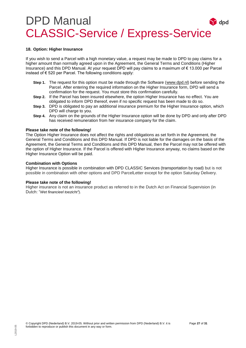#### **18. Option: Higher Insurance**

If you wish to send a Parcel with a high monetary value, a request may be made to DPD to pay claims for a higher amount than normally agreed upon in the Agreement, the General Terms and Conditions (Higher Insurance) and this DPD Manual. At your request DPD will pay claims to a maximum of € 13.000 per Parcel instead of  $€ 520$  per Parcel. The following conditions apply:

- **Step 1.** The request for this option must be made through the Software [\(www.dpd.nl\)](http://www.dpd.nl/) before sending the Parcel. After entering the required information on the Higher Insurance form, DPD will send a confirmation for the request. You must store this confirmation carefully.
- **Step 2.** If the Parcel has been insured elsewhere, the option Higher Insurance has no effect. You are obligated to inform DPD thereof, even if no specific request has been made to do so.
- **Step 3.** DPD is obligated to pay an additional insurance premium for the Higher Insurance option, which DPD will charge to you.
- **Step 4.** Any claim on the grounds of the Higher Insurance option will be done by DPD and only after DPD has received remuneration from her insurance company for the claim.

#### **Please take note of the following!**

The Option Higher Insurance does not affect the rights and obligations as set forth in the Agreement, the General Terms and Conditions and this DPD Manual. If DPD is not liable for the damages on the basis of the Agreement, the General Terms and Conditions and this DPD Manual, then the Parcel may not be offered with the option of Higher Insurance. If the Parcel is offered with Higher Insurance anyway, no claims based on the Higher Insurance Option will be paid.

#### **Combination with Options**

Higher Insurance is possible in combination with DPD CLASSIC Services (transportation by road) but is not possible in combination with other options and DPD ParcelLetter except for the option Saturday Delivery.

#### **Please take note of the following!**

Higher insurance is not an insurance product as referred to in the Dutch Act on Financial Supervision (in Dutch: "*Wet financieel toezicht"*).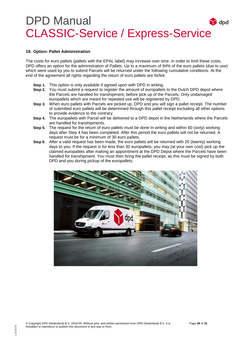#### <span id="page-28-0"></span>**19. Option: Pallet Administration**

The costs for euro pallets (pallets with the EPAL label) may increase over time. In order to limit these costs, DPD offers an option for the administration of Pallets. Up to a maximum of 94% of the euro pallets (due to use) which were used by you to submit Parcels will be returned under the following cumulative conditions. At the end of the agreement all rights regarding the return of euro pallets are forfeit.

- **Step 1.** This option is only available if agreed upon with DPD in writing.
- **Step 2.** You must submit a request to register the amount of europallets to the Dutch DPD depot where the Parcels are handled for transhipment, before pick up of the Parcels. Only undamaged europallets which are meant for repeated use will be registered by DPD.
- **Step 3.** When euro pallets with Parcels are picked up, DPD and you will sign a pallet receipt. The number of submitted euro pallets will be determined through this pallet receipt excluding all other options to provide evidence to the contrary.
- **Step 4.** The europallets with Parcel will be delivered to a DPD depot in the Netherlands where the Parcels are handled for transhipments.
- **Step 5.** The request for the return of euro pallets must be done In writing and within 60 (sixty) working days after Step 4 has been completed. After this period the euro pallets will not be returned. A request must be for a minimum of 30 euro pallets.
- **Step 6.** After a valid request has been made, the euro pallets will be returned with 20 (twenty) working days to you. If the request is for less than 30 europallets, you may (at your own cost) pick up the claimed europallets after making an appointment at the DPD Depot where the Parcels have been handled for transhipment. You must then bring the pallet receipt, as this must be signed by both DPD and you during pickup of the europallets.

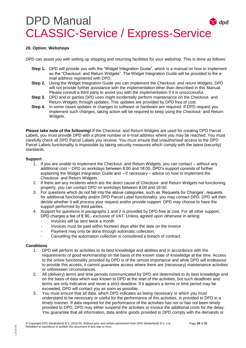#### **20. Option: Webshops**

DPD can assist you with setting up shipping and returning facilitites for your webshop. This is done as follows:

- **Step 1.** DPD will provide you with the "Widget Integration Guide", which is a manual on how to implement so the "Checkout- and Return Widgets". The Widget Integration Guide will be provided to the email address registered with DPD.
- **Step 2.** Using the Widget Integration Guide you can implement the Checkout- and return Widgets. DPD will not provide further assistance with the implementation other than described in this Manual. Please consult a third party to assist you with the implementation if it is unsuccessful.
- **Step 3.** DPD and or parties DPD uses might incidentally perform maintenance on the Checkout- and Return Widgets through updates. This updates are provided by DPD free of cost.
- **Step 4.** In some cases updates or changes to software or hardware are required. If DPD request you implement such changes, taking action will be required to keep using the Checkout- and Return Widgets.

**Please take note of the following!** If the Checkout- and Return Widgets are used for creating DPD Parcel Labels, you must provide DPD with a phone number or e-mail address where you may be reached. You must carefully check all DPD Parcel Labels you receive. You must ensure that unauthorised access to the DPD Parcel Labels functionality is impossible by taking security measures which comply with the latest (security) standards.

#### **Support**

- 1. If you are unable to implement the Checkout- and Return Widgets, you can contact without any additional cost – DPD on workdays between 8:00 and 18:00. DPD's support consists of further explaining the Widget Integration Guide and – if necessary – advice on how to implement the Checkout- and Return Widgets.
- 2. If there are any incidents which are the direct cause of Checkout- and Return Widgets not functioning properly, you can contact DPD on workdays between 8:00 and 18:00.
- 3. For questions which do not fall into the above categories, such as 'Requests for Changes', requests for additional functionality and/or DPD Parcel Label functionality, you may contact DPD. DPD will then decide whether it will process your request and/or provide support. DPD may choose to have the support performed by third parties.
- 4. Support for questions in paragraphs 1 and 2 is provided by DPD free at cost. For all other support, DPD charges a fee of  $\epsilon$  90,- exclusive of VAT. Unless agreed upon otherwise in writing:
	- Invoices will be sent twice a month
	- Invoices must be paid within fourteen days after the date on the invoice
	- Payment may only be done through automatic collection;
	- Cancelling the automation collection is considered a breach of contract.

#### **Conditions**

- 1. DPD will perform its activities to its best knowledge and abilities and in accordance with the requirements of good workmanship on the basis of the known state of knowledge at the time. Access to the online functionality provided by DPD is of the utmost importance and while DPD will endeavour to provide this access, it cannot guarantee access where there are (necessary) maintenance activities or unforeseen circumstances.
- 2. All (delivery) terms and time periods communicated by DPD are determined to its best knowledge and on the basis of data which was known to DPD at the start of the activities, but such deadlines and terms are only indicative and never a strict deadline. If it appears a terms or time period may be exceeded, DPD will contact you as soon as possible.
- 3. You must ensure that all data, which DPD indicates as being necessary or which you must understand to be necessary or useful for the performance of this activities, is provided to DPD in a timely manner. If data required for the performance of the activities has not or has not been timely provided to DPD, DPD may either suspend the activities or invoice the additional costs for the delay. You guarantee that all information, data and/or goods provided to DPD comply with the demands or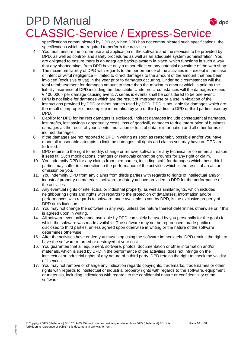specifications communicated by DPD or, when DPD has not communicated such specifications, the specifications which are required to perform the activities.

- 4. You must ensure the proper use and application of the software and the services to be provided by DPD, as well as control- and safety procedures as well as an adequate system administration. You are obligated to ensure there is an adequate backup system in place, which functions in such a way that any shortcomings from DPD have only a minor effect on any potential downtime of the web shop.
- 5. The maximum liability of DPD with regards to the performance of the activities is except in the case of intent or wilful negligence – limited to direct damages to the amount of the amount that has been invoiced (exclusive of vat) in the year prior to damages occurring. Under no circumstances will the total reimbursement for damages amount to more than the maximum amount which is paid by the liability insurance of DPD including the deductible. Under no circumstances will the damages exceed € 100.000,- per damage causing event. A series is events shall be considered to be one event.
- 6. DPD is not liable for damages which are the result of improper use or a use in violation of the instructions provided by DPD or thirds parties used by DPD. DPD is not liable for damages which are the result of improper or incomplete information by you or third parties to DPD or third parties used by DPD.
- 7. Liability for DPD for indirect damages is excluded. Indirect damages include consequential damages, lost profits, lost savings / opportunity costs, loss of goodwill, damages to due interruption of business, damages as the result of your clients, mutilation or loss of data or information and all other forms of indirect damages.
- 8. If the damages are not reported to DPD in writing as soon as reasonably possible and/or you have made all reasonable attempts to limit the damages, all rights and claims you may have on DPD are forfeited.
- 9. DPD retains to the right to modify, change or remove software for any technical or commercial reason it sees fit. Such modifications, changes or removals cannot be grounds for any right or claim.
- 10. You indemnify DPD for any claims from third parties, including staff, for damages which these third parties may suffer in connection to the performance of the activities which is the result of an act or omission be you.
- 11. You indemnify DPD from any claims from thirds parties with regards to rights of intellectual and/or industrial property on materials, software or data you have provided to DPD for the performance of the activities.
- 12. Any eventual rights of intellectual or industrial property, as well as similar rights, which includes neighbouring rights and rights with regards to the protection of databases, information and/or performances with regards to software made available to you by DPD, is the exclusive property of DPD or its licensors.
- 13. You may not change the software in any way, unless the nature thereof determines otherwise or if this is agreed upon in writing.
- 14. All software eventually made available by DPD can solely be used by you personally for the goals for which the software was made available. The software may not be reproduced, made public or disclosed to third parties, unless agreed upon otherwise in writing or the nature of the software determines otherwise.
- 15. After the activities have ended you must stop using the software immediately. DPD retains the right to have the software returned or destroyed at your cost.
- 16. You guarantee that all equipment, software, photos, documentation or other information and/or materials, which is used by DPD in the performance of the activities, does not infringe on the intellectual or industrial rights of any nature of a third party. DPD retains the right to check the validity of licences.
- 17. You may not remove or change any indication regards copyrights, trademarks, trade names or other rights with regards to intellectual or industrial property rights with regards to the software, equipment or materials, including indications with regards to the confidential nature or confidentiality of the software.